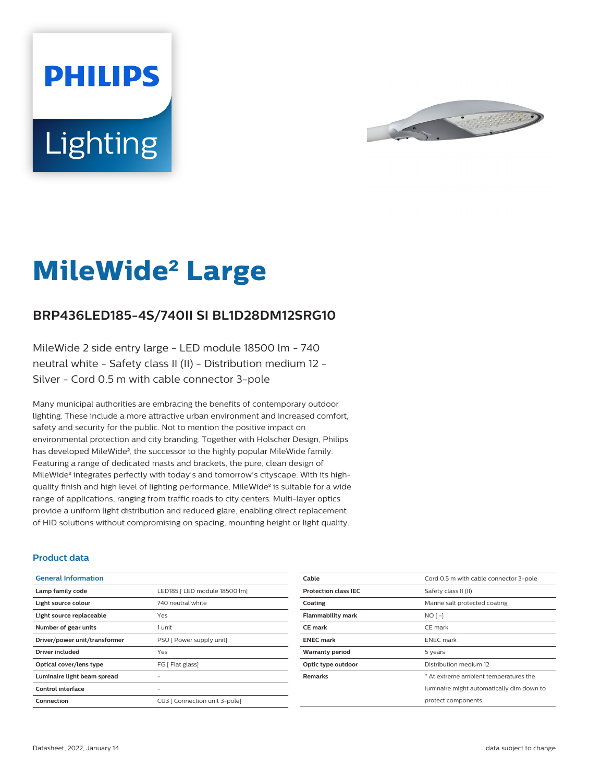



# **MileWide**² **Large**

## **BRP436LED185-4S/740II SI BL1D28DM12SRG10**

MileWide 2 side entry large - LED module 18500 lm - 740 neutral white - Safety class II (II) - Distribution medium 12 - Silver - Cord 0.5 m with cable connector 3-pole

Many municipal authorities are embracing the benefits of contemporary outdoor lighting. These include a more attractive urban environment and increased comfort, safety and security for the public. Not to mention the positive impact on environmental protection and city branding. Together with Holscher Design, Philips has developed MileWide<sup>2</sup>, the successor to the highly popular MileWide family. Featuring a range of dedicated masts and brackets, the pure, clean design of MileWide² integrates perfectly with today's and tomorrow's cityscape. With its highquality finish and high level of lighting performance, MileWide² is suitable for a wide range of applications, ranging from traffic roads to city centers. Multi-layer optics provide a uniform light distribution and reduced glare, enabling direct replacement of HID solutions without compromising on spacing, mounting height or light quality.

#### **Product data**

| <b>General Information</b>    |                               |
|-------------------------------|-------------------------------|
| Lamp family code              | LED185   LED module 18500 lm] |
| Light source colour           | 740 neutral white             |
| Light source replaceable      | Yes                           |
| Number of gear units          | 1 unit                        |
| Driver/power unit/transformer | PSU [ Power supply unit]      |
| Driver included               | Yes                           |
| Optical cover/lens type       | FG [ Flat glass]              |
| Luminaire light beam spread   |                               |
| Control interface             |                               |
| Connection                    | CU3   Connection unit 3-pole] |

| Cable                       | Cord 0.5 m with cable connector 3-pole    |
|-----------------------------|-------------------------------------------|
| <b>Protection class IEC</b> | Safety class II (II)                      |
| Coating                     | Marine salt protected coating             |
| <b>Flammability mark</b>    | $NO$ [-]                                  |
| <b>CE</b> mark              | CE mark                                   |
| <b>ENEC mark</b>            | <b>ENEC</b> mark                          |
| <b>Warranty period</b>      | 5 years                                   |
| Optic type outdoor          | Distribution medium 12                    |
| <b>Remarks</b>              | * At extreme ambient temperatures the     |
|                             | luminaire might automatically dim down to |
|                             | protect components                        |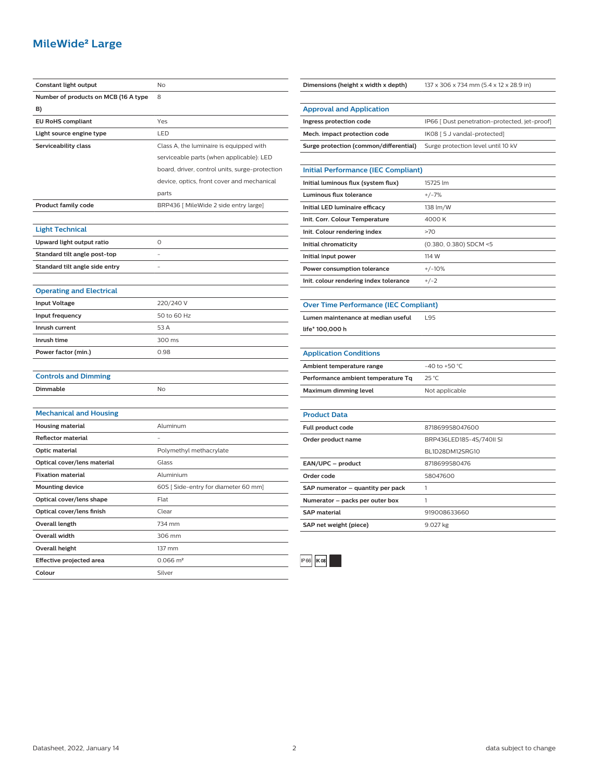### **MileWide**² **Large**

| Constant light output                | No                                             |
|--------------------------------------|------------------------------------------------|
| Number of products on MCB (16 A type | 8                                              |
| B)                                   |                                                |
| <b>EU RoHS compliant</b>             | Yes                                            |
| Light source engine type             | LED                                            |
| Serviceability class                 | Class A, the luminaire is equipped with        |
|                                      | serviceable parts (when applicable): LED       |
|                                      | board, driver, control units, surge-protection |
|                                      | device, optics, front cover and mechanical     |
|                                      | parts                                          |
| <b>Product family code</b>           | BRP436 [ MileWide 2 side entry large]          |
|                                      |                                                |
| <b>Light Technical</b>               |                                                |
| Upward light output ratio            | 0                                              |
| Standard tilt angle post-top         | L                                              |
| Standard tilt angle side entry       | L,                                             |
|                                      |                                                |
| <b>Operating and Electrical</b>      |                                                |
| <b>Input Voltage</b>                 | 220/240 V                                      |
| Input frequency                      | 50 to 60 Hz                                    |
| Inrush current                       | 53 A                                           |
| Inrush time                          | 300 ms                                         |
| Power factor (min.)                  | 0.98                                           |
|                                      |                                                |
| <b>Controls and Dimming</b>          |                                                |
| Dimmable                             | No                                             |
|                                      |                                                |
| <b>Mechanical and Housing</b>        |                                                |
| <b>Housing material</b>              | Aluminum                                       |
| <b>Reflector material</b>            |                                                |
| Optic material                       | Polymethyl methacrylate                        |
| Optical cover/lens material          | Glass                                          |
| <b>Fixation material</b>             | Aluminium                                      |
| <b>Mounting device</b>               | 60S [Side-entry for diameter 60 mm]            |
| Optical cover/lens shape             | Flat                                           |
| Optical cover/lens finish            | Clear                                          |
| <b>Overall length</b>                | 734 mm                                         |
| Overall width                        | 306 mm                                         |
| <b>Overall height</b>                | 137 mm                                         |
| Effective projected area             | $0.066$ m <sup>2</sup>                         |
| Colour                               | Silver                                         |

| Dimensions (height x width x depth)        | 137 x 306 x 734 mm (5.4 x 12 x 28.9 in)       |
|--------------------------------------------|-----------------------------------------------|
|                                            |                                               |
| <b>Approval and Application</b>            |                                               |
| Ingress protection code                    | IP66 [ Dust penetration-protected, jet-proof] |
| Mech. impact protection code               | IK08 [5 J vandal-protected]                   |
| Surge protection (common/differential)     | Surge protection level until 10 kV            |
|                                            |                                               |
| <b>Initial Performance (IEC Compliant)</b> |                                               |
| Initial luminous flux (system flux)        | 15725 lm                                      |
| Luminous flux tolerance                    | $+/-7%$                                       |
| Initial LED luminaire efficacy             | 138 lm/W                                      |
| Init. Corr. Colour Temperature             | 4000 K                                        |
| Init. Colour rendering index               | >70                                           |
| Initial chromaticity                       | (0.380, 0.380) SDCM <5                        |
| Initial input power                        | 114 W                                         |
| Power consumption tolerance                | $+/-10%$                                      |
| Init. colour rendering index tolerance     | $+/-2$                                        |

|  | <b>Over Time Performance (IEC Compliant)</b> |  |  |
|--|----------------------------------------------|--|--|
|  |                                              |  |  |

**Lumen maintenance at median useful** L95

**life\* 100,000 h**

| <b>Application Conditions</b>      |                    |
|------------------------------------|--------------------|
| Ambient temperature range          | $-40$ to $+50$ °C. |
| Performance ambient temperature Tq | 25 °C              |
| Maximum dimming level              | Not applicable     |
|                                    |                    |
| <b>Product Data</b>                |                    |
| Full product code                  | 871869958047600    |
|                                    |                    |

| Order product name                | BRP436LED185-4S/740II SI |
|-----------------------------------|--------------------------|
|                                   | BL1D28DM12SRG10          |
| EAN/UPC - product                 | 8718699580476            |
| Order code                        | 58047600                 |
| SAP numerator - quantity per pack |                          |
| Numerator - packs per outer box   |                          |
| <b>SAP material</b>               | 919008633660             |
| SAP net weight (piece)            | 9.027 kg                 |